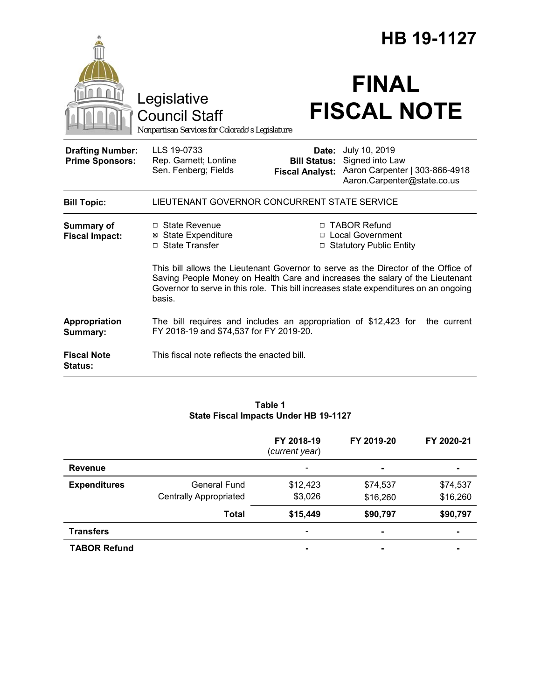|                                                   |                                                                                                                                                                                                                                                                       | HB 19-1127                                             |                                                                                                   |  |  |
|---------------------------------------------------|-----------------------------------------------------------------------------------------------------------------------------------------------------------------------------------------------------------------------------------------------------------------------|--------------------------------------------------------|---------------------------------------------------------------------------------------------------|--|--|
|                                                   | Legislative<br><b>Council Staff</b><br>Nonpartisan Services for Colorado's Legislature                                                                                                                                                                                |                                                        | <b>FINAL</b><br><b>FISCAL NOTE</b>                                                                |  |  |
| <b>Drafting Number:</b><br><b>Prime Sponsors:</b> | LLS 19-0733<br>Rep. Garnett; Lontine<br>Sen. Fenberg; Fields                                                                                                                                                                                                          | Date:<br><b>Bill Status:</b><br><b>Fiscal Analyst:</b> | July 10, 2019<br>Signed into Law<br>Aaron Carpenter   303-866-4918<br>Aaron.Carpenter@state.co.us |  |  |
| <b>Bill Topic:</b>                                | LIEUTENANT GOVERNOR CONCURRENT STATE SERVICE                                                                                                                                                                                                                          |                                                        |                                                                                                   |  |  |
| <b>Summary of</b><br><b>Fiscal Impact:</b>        | □ State Revenue<br>⊠ State Expenditure<br>□ State Transfer                                                                                                                                                                                                            |                                                        | □ TABOR Refund<br>□ Local Government<br>□ Statutory Public Entity                                 |  |  |
|                                                   | This bill allows the Lieutenant Governor to serve as the Director of the Office of<br>Saving People Money on Health Care and increases the salary of the Lieutenant<br>Governor to serve in this role. This bill increases state expenditures on an ongoing<br>basis. |                                                        |                                                                                                   |  |  |
| Appropriation<br>Summary:                         | The bill requires and includes an appropriation of \$12,423 for<br>the current<br>FY 2018-19 and \$74,537 for FY 2019-20.                                                                                                                                             |                                                        |                                                                                                   |  |  |
| <b>Fiscal Note</b><br><b>Status:</b>              | This fiscal note reflects the enacted bill.                                                                                                                                                                                                                           |                                                        |                                                                                                   |  |  |

### **Table 1 State Fiscal Impacts Under HB 19-1127**

|                     |                               | FY 2018-19<br>(current year) | FY 2019-20     | FY 2020-21     |
|---------------------|-------------------------------|------------------------------|----------------|----------------|
| Revenue             |                               |                              | $\blacksquare$ |                |
| <b>Expenditures</b> | General Fund                  | \$12,423                     | \$74,537       | \$74,537       |
|                     | <b>Centrally Appropriated</b> | \$3,026                      | \$16,260       | \$16,260       |
|                     | <b>Total</b>                  | \$15,449                     | \$90,797       | \$90,797       |
| <b>Transfers</b>    |                               |                              | $\blacksquare$ | $\blacksquare$ |
| <b>TABOR Refund</b> |                               | ۰                            | $\blacksquare$ |                |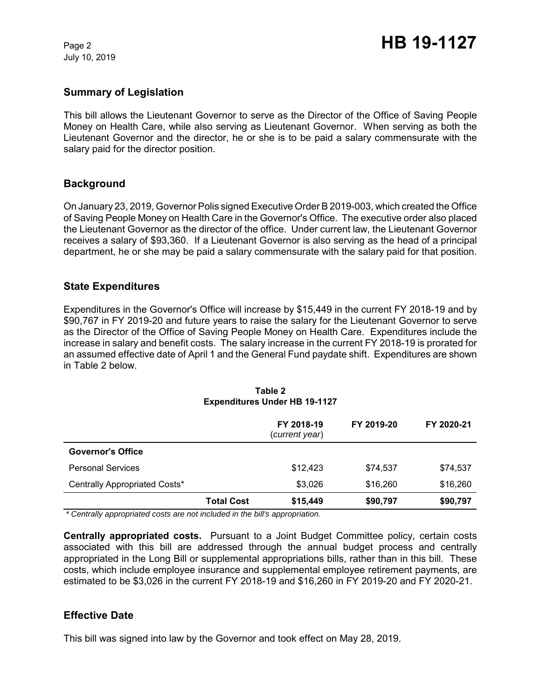July 10, 2019

## **Summary of Legislation**

This bill allows the Lieutenant Governor to serve as the Director of the Office of Saving People Money on Health Care, while also serving as Lieutenant Governor. When serving as both the Lieutenant Governor and the director, he or she is to be paid a salary commensurate with the salary paid for the director position.

## **Background**

On January 23, 2019, Governor Polis signed Executive Order B 2019-003, which created the Office of Saving People Money on Health Care in the Governor's Office. The executive order also placed the Lieutenant Governor as the director of the office. Under current law, the Lieutenant Governor receives a salary of \$93,360. If a Lieutenant Governor is also serving as the head of a principal department, he or she may be paid a salary commensurate with the salary paid for that position.

## **State Expenditures**

Expenditures in the Governor's Office will increase by \$15,449 in the current FY 2018-19 and by \$90,767 in FY 2019-20 and future years to raise the salary for the Lieutenant Governor to serve as the Director of the Office of Saving People Money on Health Care. Expenditures include the increase in salary and benefit costs. The salary increase in the current FY 2018-19 is prorated for an assumed effective date of April 1 and the General Fund paydate shift. Expenditures are shown in Table 2 below.

|                               |                   | FY 2018-19<br>(current year) | FY 2019-20 | FY 2020-21 |
|-------------------------------|-------------------|------------------------------|------------|------------|
| <b>Governor's Office</b>      |                   |                              |            |            |
| <b>Personal Services</b>      |                   | \$12,423                     | \$74,537   | \$74,537   |
| Centrally Appropriated Costs* |                   | \$3,026                      | \$16,260   | \$16,260   |
|                               | <b>Total Cost</b> | \$15,449                     | \$90,797   | \$90,797   |

#### **Table 2 Expenditures Under HB 19-1127**

 *\* Centrally appropriated costs are not included in the bill's appropriation.*

**Centrally appropriated costs.** Pursuant to a Joint Budget Committee policy, certain costs associated with this bill are addressed through the annual budget process and centrally appropriated in the Long Bill or supplemental appropriations bills, rather than in this bill. These costs, which include employee insurance and supplemental employee retirement payments, are estimated to be \$3,026 in the current FY 2018-19 and \$16,260 in FY 2019-20 and FY 2020-21.

## **Effective Date**

This bill was signed into law by the Governor and took effect on May 28, 2019.